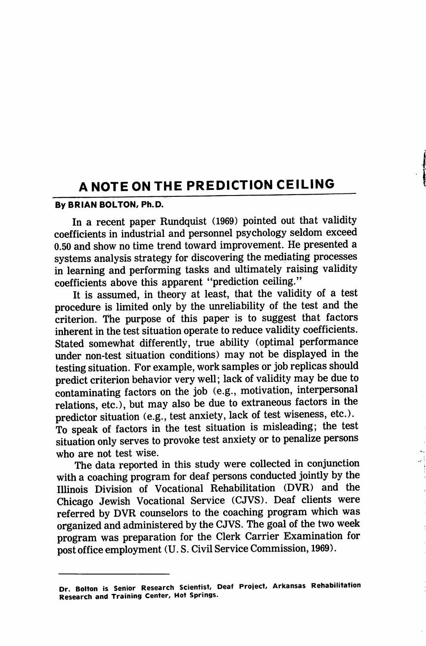# A NOTE ON THE PREDICTION CEILING

## By BRIAN BOLTON, Ph.D.

In a recent paper Rundquist (1969) pointed out that validity coefficients in industrial and personnel psychology seldom exceed 0.50 and show no time trend toward improvement. He presented a systems analysis strategy for discovering the mediating processes in learning and performing tasks and ultimately raising validity coefficients above this apparent "prediction ceiling."

It is assumed, in theory at least, that the validity of a test procedure is limited only by the unreliability of the test and the criterion. The purpose of this paper is to suggest that factors inherent in the test situation operate to reduce validity coefficients. Stated somewhat differently, true ability (optimal performance under non-test situation conditions) may not be displayed in the testing situation. For example, work samples or job replicas should predict criterion behavior very well; lack of validity may be due to contaminating factors on the job (e.g., motivation, interpersonal relations, etc.), but may also be due to extraneous factors in the predictor situation (e.g., test anxiety, lack of test wiseness, etc.). To speak of factors in the test situation is misleading; the test situation only serves to provoke test anxiety or to penalize persons who are not test wise.

The data reported in this study were collected in conjunction with a coaching program for deaf persons conducted jointly by the lUinois Division of Vocational Rehabilitation (DVR) and the Chicago Jewish Vocational Service (CJVS). Deaf clients were referred by DVR counselors to the coaching program which was organized and administered by the CJVS. The goal of the two week program was preparation for the Clerk Carrier Examination for post office employment (U. S. Civil Service Commission, 1969).

Dr. Bolton is Senior Research Scientist, Deaf Project, Arkansas Rehabilitation Research and Training Center, Hot Springs.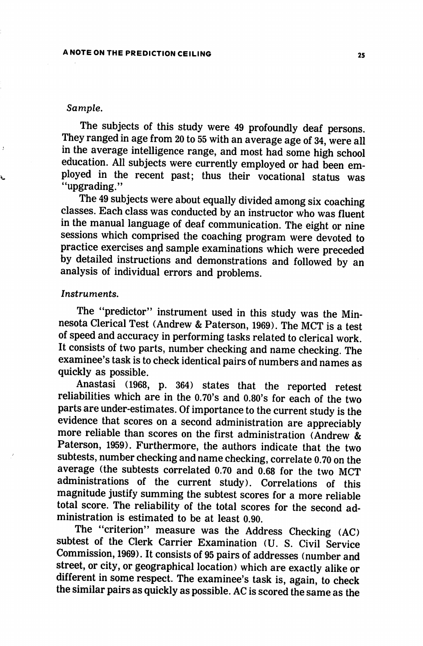#### Sample.

à.

The subjects of this study were 49 profoundly deaf persons. They ranged in age from 20 to 55 with an average age of 34, were all in the average intelligence range, and most had some high school education. All subjects were currently employed or had been employed in the recent past; thus their vocational status was "upgrading."

The 49 subjects were about equally divided among six coaching classes. Each class was conducted by an instructor who was fluent in the manual language of deaf communication. The eight or nine sessions which comprised the coaching program were devoted to practice exercises and sample examinations which were preceded by detailed instructions and demonstrations and followed by an analysis of individual errors and problems.

## Instruments.

The "predictor" instrument used in this study was the Min nesota Clerical Test (Andrew & Paterson, 1969). The MCT is a test of speed and accuracy in performing tasks related to clerical work. It consists of two parts, number checking and name checking. The examinee's task is to check identical pairs of numbers and names as quickly as possible.

Anastasi (1968, p. 364) states that the reported retest reliabilities which are in the 0.70's and 0.80's for each of the two parts are under-estimates. Of importance to the current study is the evidence that scores on a second administration are appreciably more reliable than scores on the first administration (Andrew & Paterson, 1959). Furthermore, the authors indicate that the two subtests, number checking and name checking, correlate 0.70 on the average (the subtests correlated 0.70 and 0.68 for the two MCT administrations of the current study). Correlations of this magnitude justify summing the subtest scores for a more reliable total score. The reliability of the total scores for the second ad ministration is estimated to be at least 0.90.

The "criterion" measure was the Address Checking (AC) subtest of the Clerk Carrier Examination (U. S. Civil Service Commission, 1969). It consists of 95 pairs of addresses (number and street, or city, or geographical location) which are exactly alike or different in some respect. The examinee's task is, again, to check the similar pairs as quickly as possible. AC is scored the same as the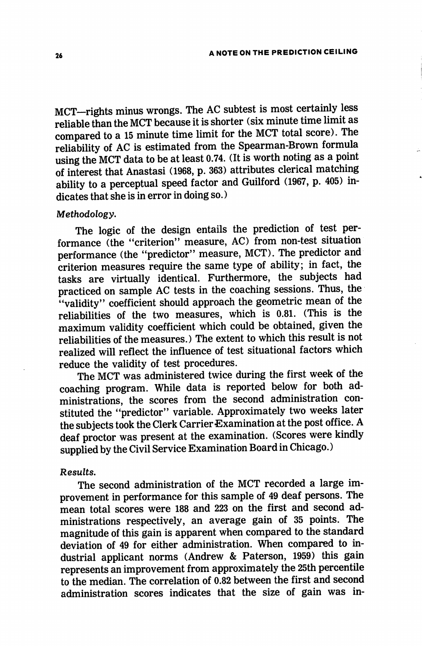MCT-rights minus wrongs. The AC subtest is most certainly less reliable than the MCT because it is shorter (six minute time limit as compared to a 15 minute time limit for the MCT total score). The reliability of AC is estimated from the Spearman-Brown formula using the MCT data to be at least 0.74. (It is worth noting as a point of interest that Anastasi (1968, p. 363) attributes clerical matching ability to a perceptual speed factor and Guilford (1967, p. 405) in dicates that she is in error in doing so.)

## Methodology,

The logic of the design entails the prediction of test per formance (the "criterion" measure, AC) from non-test situation performance (the "predictor" measure, MCT). The predictor and criterion measures require the same type of ability; in fact, the tasks are virtually identical. Furthermore, the subjects had practiced on sample AC tests in the coaching sessions. Thus, the "validity" coefficient should approach the geometric mean of the reliabilities of the two measures, which is 0.81. (This is the maximum validity coefficient which could be obtained, given the reliabilities of the measures.) The extent to which this result is not realized will reflect the influence of test situational factors which reduce the validity of test procedures.

The MCT was administered twice during the first week of the coaching program. While data is reported below for both ad ministrations, the scores from the second administration con stituted the "predictor" variable. Approximately two weeks later the subjects took the Clerk Carrier Examination at the post office. A deaf proctor was present at the examination. (Scores were kindly supplied by the Civil Service Examination Board in Chicago.)

#### Results.

The second administration of the MCT recorded a large im provement in performance for this sample of 49 deaf persons. The mean total scores were 188 and 223 on the first and second ad ministrations respectively, an average gain of 35 points. The magnitude of this gain is apparent when compared to the standard deviation of 49 for either administration. When compared to in dustrial applicant norms (Andrew & Paterson, 1959) this gain represents an improvement from approximately the 25th percentile to the median. The correlation of 0.82 between the first and second administration scores indicates that the size of gain was in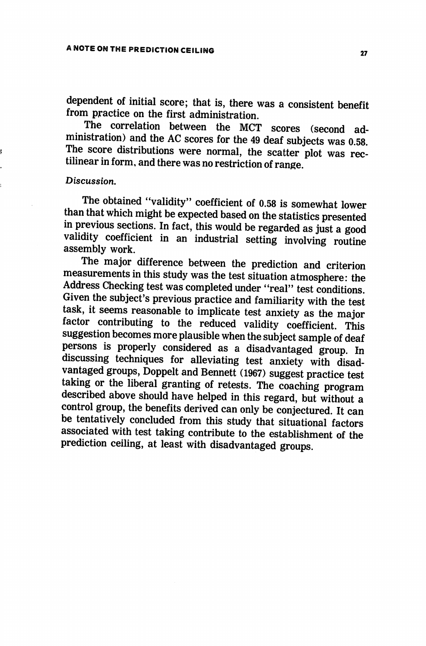dependent of initial score; that is, there was a consistent benefit from practice on the first administration.

The correlation between the MCT scores (second ad ministration) and the AC scores for the 49 deaf subjects was 0.58. The score distributions were normal, the scatter plot was rec tilinear in form, and there was no restriction of range.

#### Discussion,

The obtained "validity'' coefficient of 0.58 is somewhat lower than that which might be expected based on the statistics presented in previous sections. In fact, this would be regarded as just a good validity coefficient in an industrial setting involving routine assembly work.

The major difference between the prediction and criterion measurements in this study was the test situation atmosphere: the Address Checking test was completed under "real" test conditions. Given the subject's previous practice and familiarity with the test task, it seems reasonable to implicate test anxiety as the major factor contributing to the reduced validity coefficient. This suggestion becomes more plausible when the subject sample of deaf persons is properly considered as a disadvantaged group. In discussing techniques for alleviating test anxiety with disad vantaged groups, Doppelt and Bennett (1967) suggest practice test taking or the liberal granting of retests. The coaching program described above should have helped in this regard, but without a control group, the benefits derived can only be conjectured. It can be tentatively concluded from this study that situational factors associated with test taking contribute to the establishment of the prediction ceiling, at least with disadvantaged groups.